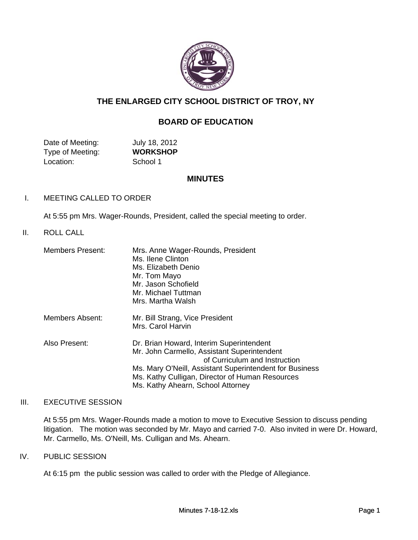

# **THE ENLARGED CITY SCHOOL DISTRICT OF TROY, NY**

# **BOARD OF EDUCATION**

| Date of Meeting: | July 18, 2012   |
|------------------|-----------------|
| Type of Meeting: | <b>WORKSHOP</b> |
| Location:        | School 1        |

#### **MINUTES**

#### I. MEETING CALLED TO ORDER

At 5:55 pm Mrs. Wager-Rounds, President, called the special meeting to order.

### II. ROLL CALL

| <b>Members Present:</b> | Mrs. Anne Wager-Rounds, President<br>Ms. Ilene Clinton<br>Ms. Elizabeth Denio<br>Mr. Tom Mayo<br>Mr. Jason Schofield<br>Mr. Michael Tuttman<br>Mrs. Martha Walsh                                                                                                            |
|-------------------------|-----------------------------------------------------------------------------------------------------------------------------------------------------------------------------------------------------------------------------------------------------------------------------|
| Members Absent:         | Mr. Bill Strang, Vice President<br>Mrs. Carol Harvin                                                                                                                                                                                                                        |
| Also Present:           | Dr. Brian Howard, Interim Superintendent<br>Mr. John Carmello, Assistant Superintendent<br>of Curriculum and Instruction<br>Ms. Mary O'Neill, Assistant Superintendent for Business<br>Ms. Kathy Culligan, Director of Human Resources<br>Ms. Kathy Ahearn, School Attorney |

#### III. EXECUTIVE SESSION

At 5:55 pm Mrs. Wager-Rounds made a motion to move to Executive Session to discuss pending litigation. The motion was seconded by Mr. Mayo and carried 7-0. Also invited in were Dr. Howard, Mr. Carmello, Ms. O'Neill, Ms. Culligan and Ms. Ahearn.

#### IV. PUBLIC SESSION

At 6:15 pm the public session was called to order with the Pledge of Allegiance.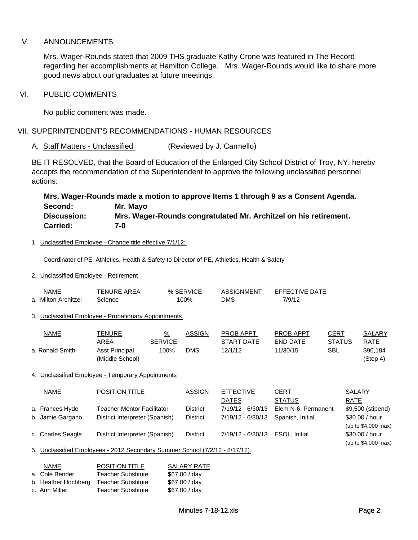## V. ANNOUNCEMENTS

Mrs. Wager-Rounds stated that 2009 THS graduate Kathy Crone was featured in The Record regarding her accomplishments at Hamilton College. Mrs. Wager-Rounds would like to share more good news about our graduates at future meetings.

#### VI. PUBLIC COMMENTS

No public comment was made.

VII. SUPERINTENDENT'S RECOMMENDATIONS - HUMAN RESOURCES

A. Staff Matters - Unclassified (Reviewed by J. Carmello)

BE IT RESOLVED, that the Board of Education of the Enlarged City School District of Troy, NY, hereby accepts the recommendation of the Superintendent to approve the following unclassified personnel actions:

|                    | Mrs. Wager-Rounds made a motion to approve Items 1 through 9 as a Consent Agenda. |
|--------------------|-----------------------------------------------------------------------------------|
| Second:            | Mr. Mayo                                                                          |
| <b>Discussion:</b> | Mrs. Wager-Rounds congratulated Mr. Architzel on his retirement.                  |
| <b>Carried:</b>    | 7-0                                                                               |

#### 1. Unclassified Employee - Change title effective 7/1/12:

Coordinator of PE, Athletics, Health & Safety to Director of PE, Athletics, Health & Safety

#### 2. Unclassified Employee - Retirement

| NAME<br>a. Milton Architzel                                                 | <u>TENURE AREA</u><br>Science                        | 100%          | % SERVICE       | <b>ASSIGNMENT</b><br><b>DMS</b>  | <b>EFFECTIVE DATE</b><br>7/9/12     |                              |                              |                                       |
|-----------------------------------------------------------------------------|------------------------------------------------------|---------------|-----------------|----------------------------------|-------------------------------------|------------------------------|------------------------------|---------------------------------------|
|                                                                             | 3. Unclassified Employee - Probationary Appointments |               |                 |                                  |                                     |                              |                              |                                       |
| <b>NAME</b>                                                                 | <b>TENURE</b><br><b>AREA</b><br><b>SERVICE</b>       | $\frac{9}{6}$ | <b>ASSIGN</b>   | PROB APPT<br><b>START DATE</b>   | <b>PROB APPT</b><br><b>END DATE</b> | <b>CERT</b><br><b>STATUS</b> |                              | <b>SALARY</b><br>RATE                 |
| a. Ronald Smith                                                             | <b>Asst Principal</b><br>(Middle School)             | 100%          | <b>DMS</b>      | 12/1/12                          | 11/30/15                            | <b>SBL</b>                   |                              | \$96,184<br>(Step 4)                  |
|                                                                             | 4. Unclassified Employee - Temporary Appointments    |               |                 |                                  |                                     |                              |                              |                                       |
| <b>NAME</b>                                                                 | <b>POSITION TITLE</b>                                |               | <b>ASSIGN</b>   | <b>EFFECTIVE</b><br><b>DATES</b> | <b>CERT</b><br><b>STATUS</b>        |                              | <b>SALARY</b><br><b>RATE</b> |                                       |
| a. Frances Hyde                                                             | <b>Teacher Mentor Facilitator</b>                    |               | <b>District</b> | 7/19/12 - 6/30/13                | Elem N-6, Permanent                 |                              |                              | \$9,500 (stipend)                     |
| b. Jamie Gargano                                                            | District Interpreter (Spanish)                       |               | <b>District</b> | 7/19/12 - 6/30/13                | Spanish, Initial                    |                              |                              | \$30.00 / hour<br>(up to \$4,000 max) |
| c. Charles Seagle                                                           | District Interpreter (Spanish)                       |               | <b>District</b> | 7/19/12 - 6/30/13                | ESOL, Initial                       |                              |                              | \$30.00 / hour<br>(up to \$4,000 max) |
| 5. Unclassified Employees - 2012 Secondary Summer School (7/2/12 - 8/17/12) |                                                      |               |                 |                                  |                                     |                              |                              |                                       |

| NAME                | <b>POSITION TITLE</b>     | <b>SALARY RATE</b> |
|---------------------|---------------------------|--------------------|
| a. Cole Bender      | <b>Teacher Substitute</b> | \$67.00 / day      |
| b. Heather Hochberg | <b>Teacher Substitute</b> | \$67.00 / day      |
| c. Ann Miller       | <b>Teacher Substitute</b> | \$67.00 / day      |
|                     |                           |                    |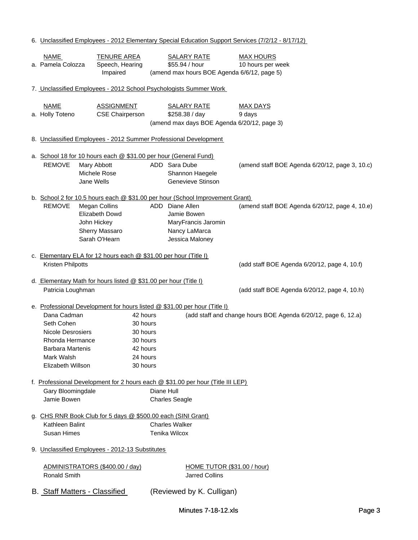|                                                                                          |                               |                       |                                                                                 | 6. Unclassified Employees - 2012 Elementary Special Education Support Services (7/2/12 - 8/17/12) |
|------------------------------------------------------------------------------------------|-------------------------------|-----------------------|---------------------------------------------------------------------------------|---------------------------------------------------------------------------------------------------|
| <b>NAME</b>                                                                              | <b>TENURE AREA</b>            |                       | <b>SALARY RATE</b>                                                              | <b>MAX HOURS</b>                                                                                  |
| a. Pamela Colozza                                                                        | Speech, Hearing               |                       | \$55.94 / hour                                                                  | 10 hours per week                                                                                 |
|                                                                                          | Impaired                      |                       | (amend max hours BOE Agenda 6/6/12, page 5)                                     |                                                                                                   |
|                                                                                          |                               |                       |                                                                                 |                                                                                                   |
| 7. Unclassified Employees - 2012 School Psychologists Summer Work                        |                               |                       |                                                                                 |                                                                                                   |
|                                                                                          |                               |                       |                                                                                 |                                                                                                   |
| <b>NAME</b>                                                                              | <b>ASSIGNMENT</b>             |                       | <b>SALARY RATE</b>                                                              | MAX DAYS                                                                                          |
| a. Holly Toteno                                                                          | <b>CSE Chairperson</b>        |                       | \$258.38 / day                                                                  | 9 days                                                                                            |
|                                                                                          |                               |                       | (amend max days BOE Agenda 6/20/12, page 3)                                     |                                                                                                   |
| 8. Unclassified Employees - 2012 Summer Professional Development                         |                               |                       |                                                                                 |                                                                                                   |
|                                                                                          |                               |                       |                                                                                 |                                                                                                   |
| a. School 18 for 10 hours each @ \$31.00 per hour (General Fund)                         |                               |                       |                                                                                 |                                                                                                   |
| <b>REMOVE</b>                                                                            | Mary Abbott                   | ADD Sara Dube         |                                                                                 | (amend staff BOE Agenda 6/20/12, page 3, 10.c)                                                    |
|                                                                                          | Michele Rose                  |                       | Shannon Haegele                                                                 |                                                                                                   |
|                                                                                          | Jane Wells                    |                       | Genevieve Stinson                                                               |                                                                                                   |
|                                                                                          |                               |                       |                                                                                 |                                                                                                   |
|                                                                                          |                               |                       | b. School 2 for 10.5 hours each @ \$31.00 per hour (School Improvement Grant)   |                                                                                                   |
| <b>REMOVE</b>                                                                            | <b>Megan Collins</b>          | ADD Diane Allen       |                                                                                 | (amend staff BOE Agenda 6/20/12, page 4, 10.e)                                                    |
|                                                                                          | <b>Elizabeth Dowd</b>         |                       | Jamie Bowen                                                                     |                                                                                                   |
|                                                                                          | John Hickey<br>Sherry Massaro |                       | MaryFrancis Jaromin<br>Nancy LaMarca                                            |                                                                                                   |
|                                                                                          | Sarah O'Hearn                 |                       | Jessica Maloney                                                                 |                                                                                                   |
|                                                                                          |                               |                       |                                                                                 |                                                                                                   |
| c. Elementary ELA for 12 hours each @ \$31.00 per hour (Title I)                         |                               |                       |                                                                                 |                                                                                                   |
| Kristen Philpotts                                                                        |                               |                       |                                                                                 | (add staff BOE Agenda 6/20/12, page 4, 10.f)                                                      |
|                                                                                          |                               |                       |                                                                                 |                                                                                                   |
| d. Elementary Math for hours listed @ \$31.00 per hour (Title I)                         |                               |                       |                                                                                 |                                                                                                   |
| Patricia Loughman                                                                        |                               |                       |                                                                                 | (add staff BOE Agenda 6/20/12, page 4, 10.h)                                                      |
|                                                                                          |                               |                       |                                                                                 |                                                                                                   |
| e. Professional Development for hours listed @ \$31.00 per hour (Title I)<br>Dana Cadman | 42 hours                      |                       |                                                                                 | (add staff and change hours BOE Agenda 6/20/12, page 6, 12.a)                                     |
| Seth Cohen                                                                               | 30 hours                      |                       |                                                                                 |                                                                                                   |
| Nicole Desrosiers                                                                        | 30 hours                      |                       |                                                                                 |                                                                                                   |
| Rhonda Hermance                                                                          | 30 hours                      |                       |                                                                                 |                                                                                                   |
| <b>Barbara Martenis</b>                                                                  | 42 hours                      |                       |                                                                                 |                                                                                                   |
| Mark Walsh                                                                               | 24 hours                      |                       |                                                                                 |                                                                                                   |
| Elizabeth Willson                                                                        | 30 hours                      |                       |                                                                                 |                                                                                                   |
|                                                                                          |                               |                       |                                                                                 |                                                                                                   |
|                                                                                          |                               |                       | f. Professional Development for 2 hours each @ \$31.00 per hour (Title III LEP) |                                                                                                   |
| Gary Bloomingdale                                                                        |                               | Diane Hull            |                                                                                 |                                                                                                   |
| Jamie Bowen                                                                              |                               | <b>Charles Seagle</b> |                                                                                 |                                                                                                   |
|                                                                                          |                               |                       |                                                                                 |                                                                                                   |
| g. CHS RNR Book Club for 5 days @ \$500.00 each (SINI Grant)<br>Kathleen Balint          |                               | <b>Charles Walker</b> |                                                                                 |                                                                                                   |
| Susan Himes                                                                              |                               | <b>Tenika Wilcox</b>  |                                                                                 |                                                                                                   |
|                                                                                          |                               |                       |                                                                                 |                                                                                                   |
| 9. Unclassified Employees - 2012-13 Substitutes                                          |                               |                       |                                                                                 |                                                                                                   |
|                                                                                          |                               |                       |                                                                                 |                                                                                                   |
| ADMINISTRATORS (\$400.00 / day)                                                          |                               |                       | <b>HOME TUTOR (\$31.00 / hour)</b>                                              |                                                                                                   |
| <b>Ronald Smith</b>                                                                      |                               |                       | <b>Jarred Collins</b>                                                           |                                                                                                   |
|                                                                                          |                               |                       |                                                                                 |                                                                                                   |
| B. Staff Matters - Classified                                                            |                               |                       | (Reviewed by K. Culligan)                                                       |                                                                                                   |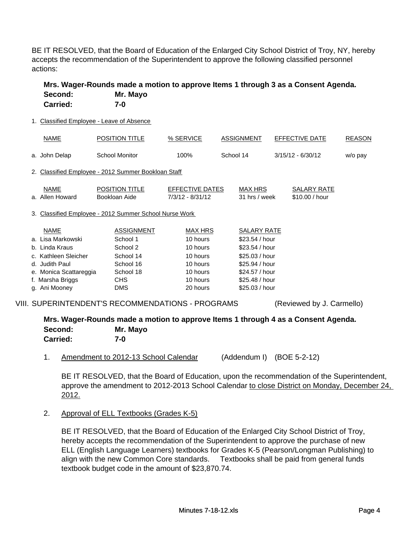BE IT RESOLVED, that the Board of Education of the Enlarged City School District of Troy, NY, hereby accepts the recommendation of the Superintendent to approve the following classified personnel actions:

| Second:<br><b>Carried:</b>                | Mrs. Wager-Rounds made a motion to approve Items 1 through 3 as a Consent Agenda.<br>Mr. Mayo<br>$7-0$ |                                       |                          |                                      |               |
|-------------------------------------------|--------------------------------------------------------------------------------------------------------|---------------------------------------|--------------------------|--------------------------------------|---------------|
| 1. Classified Employee - Leave of Absence |                                                                                                        |                                       |                          |                                      |               |
| <b>NAME</b>                               | <b>POSITION TITLE</b>                                                                                  | % SERVICE                             | <b>ASSIGNMENT</b>        | EFFECTIVE DATE                       | <b>REASON</b> |
| a. John Delap                             | <b>School Monitor</b>                                                                                  | 100%                                  | School 14                | $3/15/12 - 6/30/12$                  | w/o pay       |
|                                           | 2. Classified Employee - 2012 Summer Bookloan Staff                                                    |                                       |                          |                                      |               |
| <b>NAME</b><br>a. Allen Howard            | <b>POSITION TITLE</b><br>Bookloan Aide                                                                 | EFFECTIVE DATES<br>$7/3/12 - 8/31/12$ | MAX HRS<br>31 hrs / week | <b>SALARY RATE</b><br>\$10.00 / hour |               |
|                                           | 3. Classified Employee - 2012 Summer School Nurse Work                                                 |                                       |                          |                                      |               |
| <b>NAME</b>                               | <b>ASSIGNMENT</b>                                                                                      | <b>MAX HRS</b>                        | <b>SALARY RATE</b>       |                                      |               |
| a.  Lisa Markowski                        | School 1                                                                                               | 10 hours                              | \$23.54 / hour           |                                      |               |
| b.  Linda Kraus                           | School 2                                                                                               | 10 hours                              | \$23.54 / hour           |                                      |               |
| c. Kathleen Sleicher                      | School 14                                                                                              | 10 hours                              | \$25.03 / hour           |                                      |               |
| d. Judith Paul                            | School 16                                                                                              | 10 hours                              | \$25.94 / hour           |                                      |               |
| e. Monica Scattareggia                    | School 18                                                                                              | 10 hours                              | \$24.57 / hour           |                                      |               |
| f. Marsha Briggs                          | CHS                                                                                                    | 10 hours                              | \$25.48 / hour           |                                      |               |
| g. Ani Mooney                             | <b>DMS</b>                                                                                             | 20 hours                              | \$25.03/hour             |                                      |               |
|                                           |                                                                                                        |                                       |                          |                                      |               |

VIII. SUPERINTENDENT'S RECOMMENDATIONS - PROGRAMS (Reviewed by J. Carmello)

### **Mrs. Wager-Rounds made a motion to approve Items 1 through 4 as a Consent Agenda. Second: Mr. Mayo Carried: 7-0**

1. Amendment to 2012-13 School Calendar (Addendum I) (BOE 5-2-12)

BE IT RESOLVED, that the Board of Education, upon the recommendation of the Superintendent, approve the amendment to 2012-2013 School Calendar to close District on Monday, December 24, 2012.

2. Approval of ELL Textbooks (Grades K-5)

BE IT RESOLVED, that the Board of Education of the Enlarged City School District of Troy, hereby accepts the recommendation of the Superintendent to approve the purchase of new ELL (English Language Learners) textbooks for Grades K-5 (Pearson/Longman Publishing) to align with the new Common Core standards. Textbooks shall be paid from general funds textbook budget code in the amount of \$23,870.74.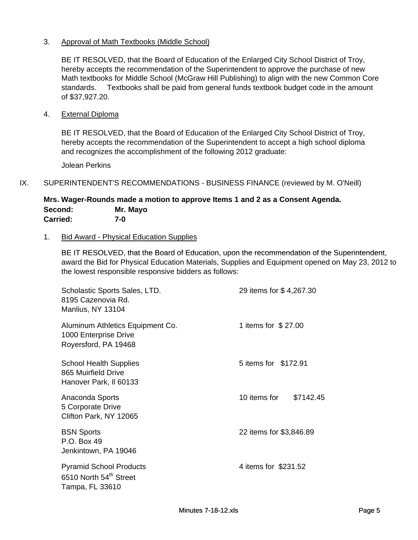# 3. Approval of Math Textbooks (Middle School)

BE IT RESOLVED, that the Board of Education of the Enlarged City School District of Troy, hereby accepts the recommendation of the Superintendent to approve the purchase of new Math textbooks for Middle School (McGraw Hill Publishing) to align with the new Common Core standards. Textbooks shall be paid from general funds textbook budget code in the amount of \$37,927.20.

#### 4. External Diploma

BE IT RESOLVED, that the Board of Education of the Enlarged City School District of Troy, hereby accepts the recommendation of the Superintendent to accept a high school diploma and recognizes the accomplishment of the following 2012 graduate:

Jolean Perkins

#### IX. SUPERINTENDENT'S RECOMMENDATIONS - BUSINESS FINANCE (reviewed by M. O'Neill)

#### **Mrs. Wager-Rounds made a motion to approve Items 1 and 2 as a Consent Agenda. Second: Mr. Mayo Carried: 7-0**

#### 1. Bid Award - Physical Education Supplies

BE IT RESOLVED, that the Board of Education, upon the recommendation of the Superintendent, award the Bid for Physical Education Materials, Supplies and Equipment opened on May 23, 2012 to the lowest responsible responsive bidders as follows:

| Scholastic Sports Sales, LTD.<br>8195 Cazenovia Rd.<br>Manlius, NY 13104                | 29 items for \$4,267.30   |
|-----------------------------------------------------------------------------------------|---------------------------|
| Aluminum Athletics Equipment Co.<br>1000 Enterprise Drive<br>Royersford, PA 19468       | 1 items for \$27.00       |
| <b>School Health Supplies</b><br>865 Muirfield Drive<br>Hanover Park, II 60133          | 5 items for \$172.91      |
| Anaconda Sports<br>5 Corporate Drive<br>Clifton Park, NY 12065                          | 10 items for<br>\$7142.45 |
| <b>BSN Sports</b><br>P.O. Box 49<br>Jenkintown, PA 19046                                | 22 items for \$3,846.89   |
| <b>Pyramid School Products</b><br>6510 North 54 <sup>th</sup> Street<br>Tampa, FL 33610 | 4 items for \$231.52      |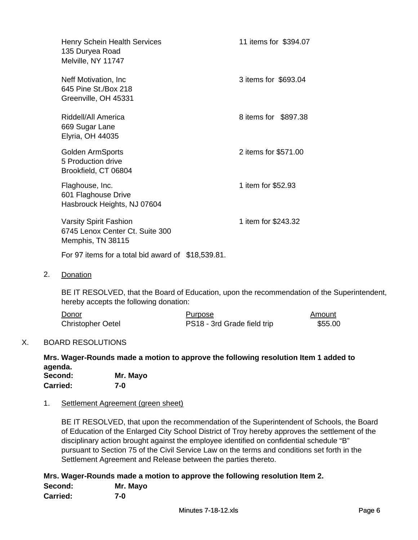| <b>Henry Schein Health Services</b><br>135 Duryea Road<br>Melville, NY 11747          | 11 items for \$394.07 |
|---------------------------------------------------------------------------------------|-----------------------|
| Neff Motivation, Inc.<br>645 Pine St./Box 218<br>Greenville, OH 45331                 | 3 items for \$693.04  |
| Riddell/All America<br>669 Sugar Lane<br><b>Elyria, OH 44035</b>                      | 8 items for \$897.38  |
| <b>Golden ArmSports</b><br>5 Production drive<br>Brookfield, CT 06804                 | 2 items for \$571.00  |
| Flaghouse, Inc.<br>601 Flaghouse Drive<br>Hasbrouck Heights, NJ 07604                 | 1 item for \$52.93    |
| <b>Varsity Spirit Fashion</b><br>6745 Lenox Center Ct. Suite 300<br>Memphis, TN 38115 | 1 item for \$243.32   |
| For 97 items for a total bid award of \$18,539.81.                                    |                       |

2. Donation

BE IT RESOLVED, that the Board of Education, upon the recommendation of the Superintendent, hereby accepts the following donation:

| Donor                    | Purpose                     | Amount  |
|--------------------------|-----------------------------|---------|
| <b>Christopher Oetel</b> | PS18 - 3rd Grade field trip | \$55.00 |

# X. BOARD RESOLUTIONS

**Mrs. Wager-Rounds made a motion to approve the following resolution Item 1 added to agenda.**

| Second:         | Mr. Mayo |
|-----------------|----------|
| <b>Carried:</b> | 7-0      |

### 1. Settlement Agreement (green sheet)

BE IT RESOLVED, that upon the recommendation of the Superintendent of Schools, the Board of Education of the Enlarged City School District of Troy hereby approves the settlement of the disciplinary action brought against the employee identified on confidential schedule "B" pursuant to Section 75 of the Civil Service Law on the terms and conditions set forth in the Settlement Agreement and Release between the parties thereto.

**Mrs. Wager-Rounds made a motion to approve the following resolution Item 2. Second: Mr. Mayo Carried: 7-0**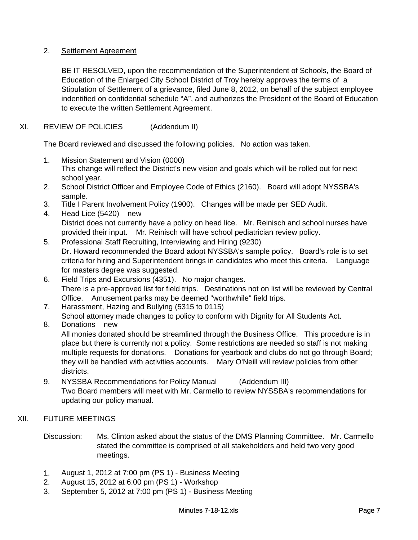# 2. Settlement Agreement

BE IT RESOLVED, upon the recommendation of the Superintendent of Schools, the Board of Education of the Enlarged City School District of Troy hereby approves the terms of a Stipulation of Settlement of a grievance, filed June 8, 2012, on behalf of the subject employee indentified on confidential schedule "A", and authorizes the President of the Board of Education to execute the written Settlement Agreement.

# XI. REVIEW OF POLICIES (Addendum II)

The Board reviewed and discussed the following policies. No action was taken.

- 1. Mission Statement and Vision (0000) This change will reflect the District's new vision and goals which will be rolled out for next school year.
- 2. School District Officer and Employee Code of Ethics (2160). Board will adopt NYSSBA's sample.
- 3. Title I Parent Involvement Policy (1900). Changes will be made per SED Audit.
- 4. Head Lice (5420) new District does not currently have a policy on head lice. Mr. Reinisch and school nurses have provided their input. Mr. Reinisch will have school pediatrician review policy.
- 5. Professional Staff Recruiting, Interviewing and Hiring (9230) Dr. Howard recommended the Board adopt NYSSBA's sample policy. Board's role is to set criteria for hiring and Superintendent brings in candidates who meet this criteria. Language for masters degree was suggested.
- 6. Field Trips and Excursions (4351). No major changes. There is a pre-approved list for field trips. Destinations not on list will be reviewed by Central Office. Amusement parks may be deemed "worthwhile" field trips.
- 7. Harassment, Hazing and Bullying (5315 to 0115) School attorney made changes to policy to conform with Dignity for All Students Act.

### 8. Donations new

All monies donated should be streamlined through the Business Office. This procedure is in place but there is currently not a policy. Some restrictions are needed so staff is not making multiple requests for donations. Donations for yearbook and clubs do not go through Board; they will be handled with activities accounts. Mary O'Neill will review policies from other districts.

9. NYSSBA Recommendations for Policy Manual (Addendum III) Two Board members will meet with Mr. Carmello to review NYSSBA's recommendations for updating our policy manual.

### XII. FUTURE MEETINGS

- Discussion: Ms. Clinton asked about the status of the DMS Planning Committee. Mr. Carmello stated the committee is comprised of all stakeholders and held two very good meetings.
- 1. August 1, 2012 at 7:00 pm (PS 1) Business Meeting
- 2. August 15, 2012 at 6:00 pm (PS 1) Workshop
- 3. September 5, 2012 at 7:00 pm (PS 1) Business Meeting